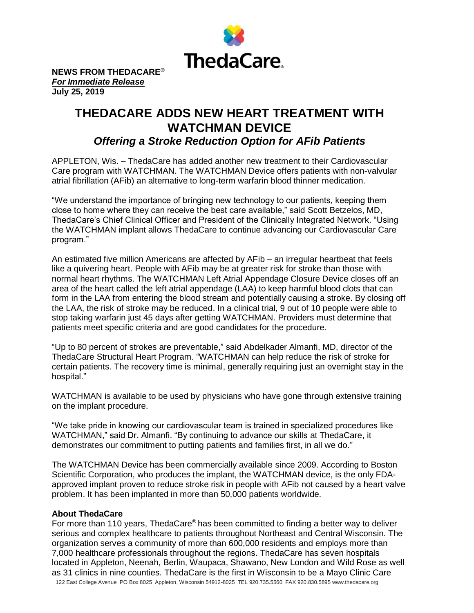

**NEWS FROM THEDACARE®** *For Immediate Release* **July 25, 2019**

## **THEDACARE ADDS NEW HEART TREATMENT WITH WATCHMAN DEVICE** *Offering a Stroke Reduction Option for AFib Patients*

APPLETON, Wis. – ThedaCare has added another new treatment to their Cardiovascular Care program with WATCHMAN. The WATCHMAN Device offers patients with non-valvular atrial fibrillation (AFib) an alternative to long-term warfarin blood thinner medication.

"We understand the importance of bringing new technology to our patients, keeping them close to home where they can receive the best care available," said Scott Betzelos, MD, ThedaCare's Chief Clinical Officer and President of the Clinically Integrated Network. "Using the WATCHMAN implant allows ThedaCare to continue advancing our Cardiovascular Care program."

An estimated five million Americans are affected by AFib – an irregular heartbeat that feels like a quivering heart. People with AFib may be at greater risk for stroke than those with normal heart rhythms. The WATCHMAN Left Atrial Appendage Closure Device closes off an area of the heart called the left atrial appendage (LAA) to keep harmful blood clots that can form in the LAA from entering the blood stream and potentially causing a stroke. By closing off the LAA, the risk of stroke may be reduced. In a clinical trial, 9 out of 10 people were able to stop taking warfarin just 45 days after getting WATCHMAN. Providers must determine that patients meet specific criteria and are good candidates for the procedure.

"Up to 80 percent of strokes are preventable," said Abdelkader Almanfi, MD, director of the ThedaCare Structural Heart Program. "WATCHMAN can help reduce the risk of stroke for certain patients. The recovery time is minimal, generally requiring just an overnight stay in the hospital."

WATCHMAN is available to be used by physicians who have gone through extensive training on the implant procedure.

"We take pride in knowing our cardiovascular team is trained in specialized procedures like WATCHMAN," said Dr. Almanfi. "By continuing to advance our skills at ThedaCare, it demonstrates our commitment to putting patients and families first, in all we do."

The WATCHMAN Device has been commercially available since 2009. According to Boston Scientific Corporation, who produces the implant, the WATCHMAN device, is the only FDAapproved implant proven to reduce stroke risk in people with AFib not caused by a heart valve problem. It has been implanted in more than 50,000 patients worldwide.

## **About ThedaCare**

122 East College Avenue PO Box 8025 Appleton, Wisconsin 54912-8025 TEL 920.735.5560 F[AX 920.830.5895 www.thedacare.org](http://www.thedacare.org/) For more than 110 years, ThedaCare<sup>®</sup> has been committed to finding a better way to deliver serious and complex healthcare to patients throughout Northeast and Central Wisconsin. The organization serves a community of more than 600,000 residents and employs more than 7,000 healthcare professionals throughout the regions. ThedaCare has seven hospitals located in Appleton, Neenah, Berlin, Waupaca, Shawano, New London and Wild Rose as well as 31 clinics in nine counties. ThedaCare is the first in Wisconsin to be a Mayo Clinic Care